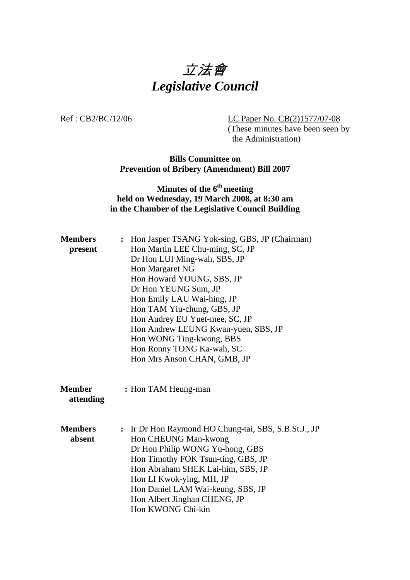# 立法會 *Legislative Council*

Ref : CB2/BC/12/06 LC Paper No. CB(2)1577/07-08

(These minutes have been seen by the Administration)

**Bills Committee on Prevention of Bribery (Amendment) Bill 2007** 

# **Minutes of the 6<sup>th</sup> meeting held on Wednesday, 19 March 2008, at 8:30 am in the Chamber of the Legislative Council Building**

| <b>Members</b><br>present  | : Hon Jasper TSANG Yok-sing, GBS, JP (Chairman)<br>Hon Martin LEE Chu-ming, SC, JP<br>Dr Hon LUI Ming-wah, SBS, JP                                                                                                                                                                                               |  |  |  |
|----------------------------|------------------------------------------------------------------------------------------------------------------------------------------------------------------------------------------------------------------------------------------------------------------------------------------------------------------|--|--|--|
|                            | Hon Margaret NG<br>Hon Howard YOUNG, SBS, JP<br>Dr Hon YEUNG Sum, JP<br>Hon Emily LAU Wai-hing, JP<br>Hon TAM Yiu-chung, GBS, JP<br>Hon Audrey EU Yuet-mee, SC, JP<br>Hon Andrew LEUNG Kwan-yuen, SBS, JP<br>Hon WONG Ting-kwong, BBS<br>Hon Ronny TONG Ka-wah, SC<br>Hon Mrs Anson CHAN, GMB, JP                |  |  |  |
| <b>Member</b><br>attending | : Hon TAM Heung-man                                                                                                                                                                                                                                                                                              |  |  |  |
| <b>Members</b><br>absent   | : Ir Dr Hon Raymond HO Chung-tai, SBS, S.B.St.J., JP<br>Hon CHEUNG Man-kwong<br>Dr Hon Philip WONG Yu-hong, GBS<br>Hon Timothy FOK Tsun-ting, GBS, JP<br>Hon Abraham SHEK Lai-him, SBS, JP<br>Hon LI Kwok-ying, MH, JP<br>Hon Daniel LAM Wai-keung, SBS, JP<br>Hon Albert Jinghan CHENG, JP<br>Hon KWONG Chi-kin |  |  |  |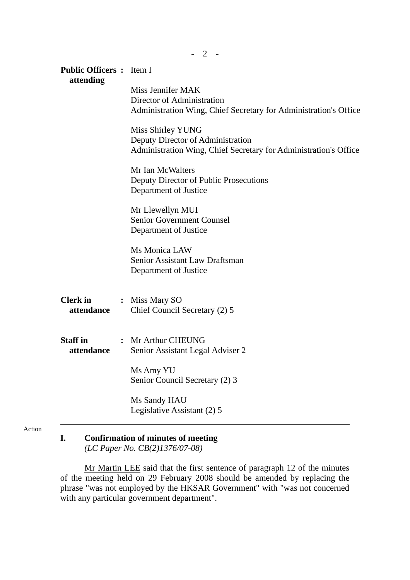| <b>Public Officers :</b> Item I |                                                                                                                            |
|---------------------------------|----------------------------------------------------------------------------------------------------------------------------|
| attending                       | Miss Jennifer MAK<br>Director of Administration<br>Administration Wing, Chief Secretary for Administration's Office        |
|                                 | Miss Shirley YUNG<br>Deputy Director of Administration<br>Administration Wing, Chief Secretary for Administration's Office |
|                                 | Mr Ian McWalters<br>Deputy Director of Public Prosecutions<br>Department of Justice                                        |
|                                 | Mr Llewellyn MUI<br><b>Senior Government Counsel</b><br>Department of Justice                                              |
|                                 | Ms Monica LAW<br>Senior Assistant Law Draftsman<br>Department of Justice                                                   |
| <b>Clerk</b> in<br>attendance   | : Miss Mary SO<br>Chief Council Secretary (2) 5                                                                            |
| <b>Staff in</b><br>attendance   | : Mr Arthur CHEUNG<br>Senior Assistant Legal Adviser 2                                                                     |
|                                 | Ms Amy YU<br>Senior Council Secretary (2) 3                                                                                |
|                                 | Ms Sandy HAU<br>Legislative Assistant (2) 5                                                                                |

 $- 2 - -$ 

### Action

# **I. Confirmation of minutes of meeting**

 *(LC Paper No. CB(2)1376/07-08)* 

 Mr Martin LEE said that the first sentence of paragraph 12 of the minutes of the meeting held on 29 February 2008 should be amended by replacing the phrase "was not employed by the HKSAR Government" with "was not concerned with any particular government department".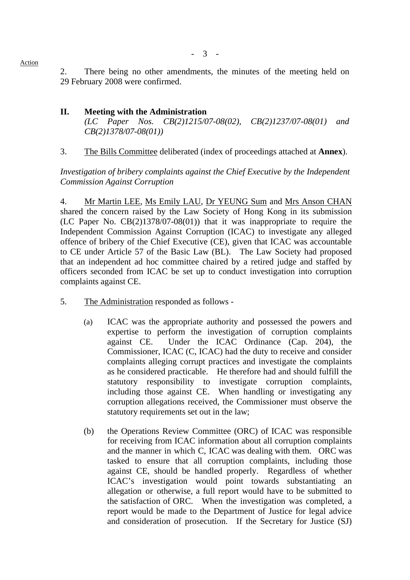29 February 2008 were confirmed.

## **II. Meeting with the Administration**   *(LC Paper Nos. CB(2)1215/07-08(02), CB(2)1237/07-08(01) and CB(2)1378/07-08(01))*

- 3 -

# 3. The Bills Committee deliberated (index of proceedings attached at **Annex**).

*Investigation of bribery complaints against the Chief Executive by the Independent Commission Against Corruption* 

4. Mr Martin LEE, Ms Emily LAU, Dr YEUNG Sum and Mrs Anson CHAN shared the concern raised by the Law Society of Hong Kong in its submission (LC Paper No. CB(2)1378/07-08(01)) that it was inappropriate to require the Independent Commission Against Corruption (ICAC) to investigate any alleged offence of bribery of the Chief Executive (CE), given that ICAC was accountable to CE under Article 57 of the Basic Law (BL). The Law Society had proposed that an independent ad hoc committee chaired by a retired judge and staffed by officers seconded from ICAC be set up to conduct investigation into corruption complaints against CE.

- 5. The Administration responded as follows
	- (a) ICAC was the appropriate authority and possessed the powers and expertise to perform the investigation of corruption complaints against CE. Under the ICAC Ordinance (Cap. 204), the Commissioner, ICAC (C, ICAC) had the duty to receive and consider complaints alleging corrupt practices and investigate the complaints as he considered practicable. He therefore had and should fulfill the statutory responsibility to investigate corruption complaints, including those against CE. When handling or investigating any corruption allegations received, the Commissioner must observe the statutory requirements set out in the law;
	- (b) the Operations Review Committee (ORC) of ICAC was responsible for receiving from ICAC information about all corruption complaints and the manner in which C, ICAC was dealing with them. ORC was tasked to ensure that all corruption complaints, including those against CE, should be handled properly. Regardless of whether ICAC's investigation would point towards substantiating an allegation or otherwise, a full report would have to be submitted to the satisfaction of ORC. When the investigation was completed, a report would be made to the Department of Justice for legal advice and consideration of prosecution. If the Secretary for Justice (SJ)

Action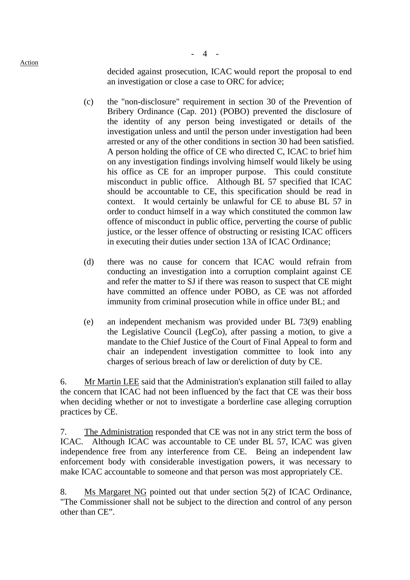Action

decided against prosecution, ICAC would report the proposal to end an investigation or close a case to ORC for advice;

- (c) the "non-disclosure" requirement in section 30 of the Prevention of Bribery Ordinance (Cap. 201) (POBO) prevented the disclosure of the identity of any person being investigated or details of the investigation unless and until the person under investigation had been arrested or any of the other conditions in section 30 had been satisfied. A person holding the office of CE who directed C, ICAC to brief him on any investigation findings involving himself would likely be using his office as CE for an improper purpose. This could constitute misconduct in public office. Although BL 57 specified that ICAC should be accountable to CE, this specification should be read in context. It would certainly be unlawful for CE to abuse BL 57 in order to conduct himself in a way which constituted the common law offence of misconduct in public office, perverting the course of public justice, or the lesser offence of obstructing or resisting ICAC officers in executing their duties under section 13A of ICAC Ordinance;
- (d) there was no cause for concern that ICAC would refrain from conducting an investigation into a corruption complaint against CE and refer the matter to SJ if there was reason to suspect that CE might have committed an offence under POBO, as CE was not afforded immunity from criminal prosecution while in office under BL; and
- (e) an independent mechanism was provided under BL 73(9) enabling the Legislative Council (LegCo), after passing a motion, to give a mandate to the Chief Justice of the Court of Final Appeal to form and chair an independent investigation committee to look into any charges of serious breach of law or dereliction of duty by CE.

6. Mr Martin LEE said that the Administration's explanation still failed to allay the concern that ICAC had not been influenced by the fact that CE was their boss when deciding whether or not to investigate a borderline case alleging corruption practices by CE.

7. The Administration responded that CE was not in any strict term the boss of ICAC. Although ICAC was accountable to CE under BL 57, ICAC was given independence free from any interference from CE. Being an independent law enforcement body with considerable investigation powers, it was necessary to make ICAC accountable to someone and that person was most appropriately CE.

8. Ms Margaret NG pointed out that under section 5(2) of ICAC Ordinance, "The Commissioner shall not be subject to the direction and control of any person other than CE".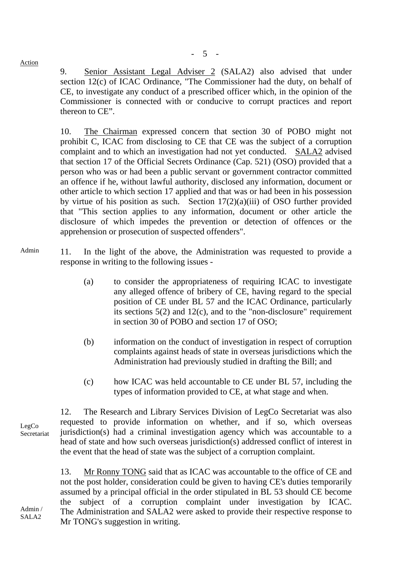Action

9. Senior Assistant Legal Adviser 2 (SALA2) also advised that under section 12(c) of ICAC Ordinance, "The Commissioner had the duty, on behalf of CE, to investigate any conduct of a prescribed officer which, in the opinion of the Commissioner is connected with or conducive to corrupt practices and report thereon to CE".

10. The Chairman expressed concern that section 30 of POBO might not prohibit C, ICAC from disclosing to CE that CE was the subject of a corruption complaint and to which an investigation had not yet conducted. SALA2 advised that section 17 of the Official Secrets Ordinance (Cap. 521) (OSO) provided that a person who was or had been a public servant or government contractor committed an offence if he, without lawful authority, disclosed any information, document or other article to which section 17 applied and that was or had been in his possession by virtue of his position as such. Section  $17(2)(a)(iii)$  of OSO further provided that "This section applies to any information, document or other article the disclosure of which impedes the prevention or detection of offences or the apprehension or prosecution of suspected offenders".

- Admin 11. In the light of the above, the Administration was requested to provide a response in writing to the following issues -
	- (a) to consider the appropriateness of requiring ICAC to investigate any alleged offence of bribery of CE, having regard to the special position of CE under BL 57 and the ICAC Ordinance, particularly its sections  $5(2)$  and  $12(c)$ , and to the "non-disclosure" requirement in section 30 of POBO and section 17 of OSO;
	- (b) information on the conduct of investigation in respect of corruption complaints against heads of state in overseas jurisdictions which the Administration had previously studied in drafting the Bill; and
	- (c) how ICAC was held accountable to CE under BL 57, including the types of information provided to CE, at what stage and when.

12. The Research and Library Services Division of LegCo Secretariat was also requested to provide information on whether, and if so, which overseas jurisdiction(s) had a criminal investigation agency which was accountable to a head of state and how such overseas jurisdiction(s) addressed conflict of interest in the event that the head of state was the subject of a corruption complaint.

13. Mr Ronny TONG said that as ICAC was accountable to the office of CE and not the post holder, consideration could be given to having CE's duties temporarily assumed by a principal official in the order stipulated in BL 53 should CE become the subject of a corruption complaint under investigation by ICAC. The Administration and SALA2 were asked to provide their respective response to Mr TONG's suggestion in writing.

LegCo **Secretariat** 

Admin / SALA2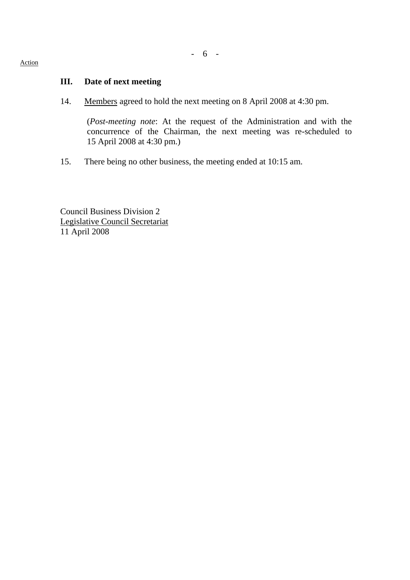# **III. Date of next meeting**

14. Members agreed to hold the next meeting on 8 April 2008 at 4:30 pm.

(*Post-meeting note*: At the request of the Administration and with the concurrence of the Chairman, the next meeting was re-scheduled to 15 April 2008 at 4:30 pm.)

15. There being no other business, the meeting ended at 10:15 am.

Council Business Division 2 Legislative Council Secretariat 11 April 2008

#### Action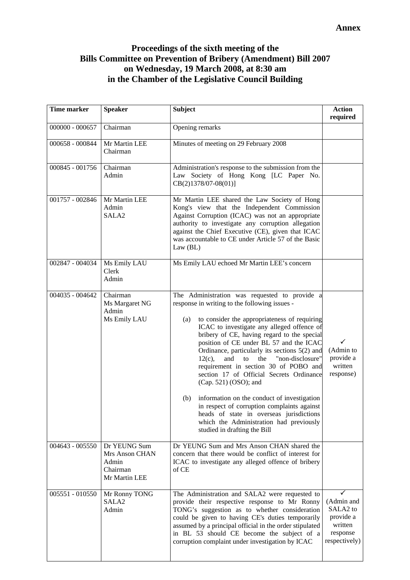# **Proceedings of the sixth meeting of the Bills Committee on Prevention of Bribery (Amendment) Bill 2007 on Wednesday, 19 March 2008, at 8:30 am in the Chamber of the Legislative Council Building**

| Time marker       | <b>Speaker</b>                                                       | <b>Subject</b>                                                                                                                                                                                                                                                                                                                                                                                                                                                                                                                                                                                                                                                                                                                                | <b>Action</b><br>required                                                               |
|-------------------|----------------------------------------------------------------------|-----------------------------------------------------------------------------------------------------------------------------------------------------------------------------------------------------------------------------------------------------------------------------------------------------------------------------------------------------------------------------------------------------------------------------------------------------------------------------------------------------------------------------------------------------------------------------------------------------------------------------------------------------------------------------------------------------------------------------------------------|-----------------------------------------------------------------------------------------|
| $000000 - 000657$ | Chairman                                                             | Opening remarks                                                                                                                                                                                                                                                                                                                                                                                                                                                                                                                                                                                                                                                                                                                               |                                                                                         |
| 000658 - 000844   | Mr Martin LEE<br>Chairman                                            | Minutes of meeting on 29 February 2008                                                                                                                                                                                                                                                                                                                                                                                                                                                                                                                                                                                                                                                                                                        |                                                                                         |
| 000845 - 001756   | Chairman<br>Admin                                                    | Administration's response to the submission from the<br>Law Society of Hong Kong [LC Paper No.<br>$CB(2)1378/07-08(01)]$                                                                                                                                                                                                                                                                                                                                                                                                                                                                                                                                                                                                                      |                                                                                         |
| 001757 - 002846   | Mr Martin LEE<br>Admin<br>SALA <sub>2</sub>                          | Mr Martin LEE shared the Law Society of Hong<br>Kong's view that the Independent Commission<br>Against Corruption (ICAC) was not an appropriate<br>authority to investigate any corruption allegation<br>against the Chief Executive (CE), given that ICAC<br>was accountable to CE under Article 57 of the Basic<br>Law $(BL)$                                                                                                                                                                                                                                                                                                                                                                                                               |                                                                                         |
| 002847 - 004034   | Ms Emily LAU<br>Clerk<br>Admin                                       | Ms Emily LAU echoed Mr Martin LEE's concern                                                                                                                                                                                                                                                                                                                                                                                                                                                                                                                                                                                                                                                                                                   |                                                                                         |
| 004035 - 004642   | Chairman<br>Ms Margaret NG<br>Admin<br>Ms Emily LAU                  | The Administration was requested to provide a<br>response in writing to the following issues -<br>to consider the appropriateness of requiring<br>(a)<br>ICAC to investigate any alleged offence of<br>bribery of CE, having regard to the special<br>position of CE under BL 57 and the ICAC<br>Ordinance, particularly its sections 5(2) and<br>"non-disclosure"<br>$12(c)$ ,<br>and<br>to<br>the<br>requirement in section 30 of POBO and<br>section 17 of Official Secrets Ordinance<br>(Cap. 521) (OSO); and<br>information on the conduct of investigation<br>(b)<br>in respect of corruption complaints against<br>heads of state in overseas jurisdictions<br>which the Administration had previously<br>studied in drafting the Bill | ✓<br>(Admin to<br>provide a<br>written<br>response)                                     |
| $004643 - 005550$ | Dr YEUNG Sum<br>Mrs Anson CHAN<br>Admin<br>Chairman<br>Mr Martin LEE | Dr YEUNG Sum and Mrs Anson CHAN shared the<br>concern that there would be conflict of interest for<br>ICAC to investigate any alleged offence of bribery<br>of CE                                                                                                                                                                                                                                                                                                                                                                                                                                                                                                                                                                             |                                                                                         |
| 005551 - 010550   | Mr Ronny TONG<br>SALA <sub>2</sub><br>Admin                          | The Administration and SALA2 were requested to<br>provide their respective response to Mr Ronny<br>TONG's suggestion as to whether consideration<br>could be given to having CE's duties temporarily<br>assumed by a principal official in the order stipulated<br>in BL 53 should CE become the subject of a<br>corruption complaint under investigation by ICAC                                                                                                                                                                                                                                                                                                                                                                             | (Admin and<br>SALA <sub>2</sub> to<br>provide a<br>written<br>response<br>respectively) |